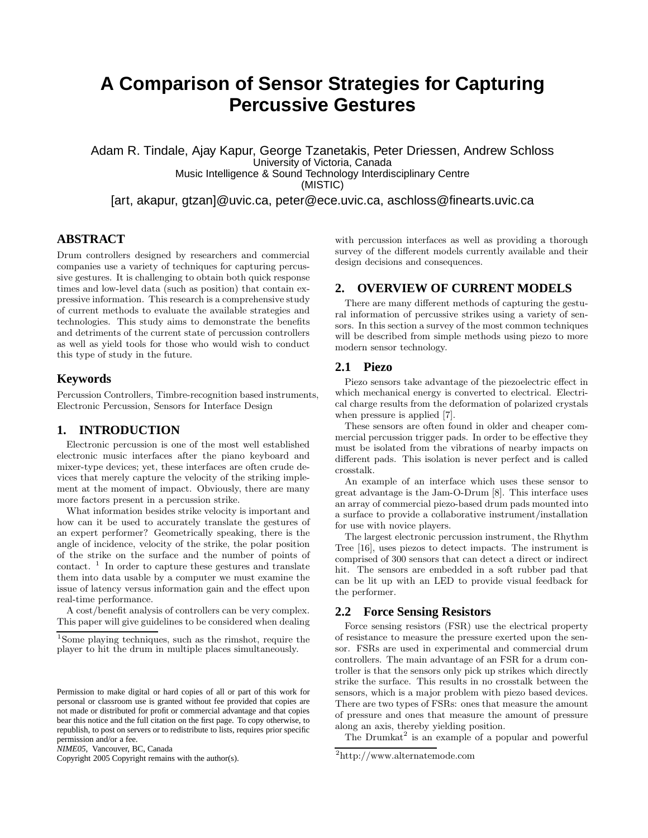# **A Comparison of Sensor Strategies for Capturing Percussive Gestures**

Adam R. Tindale, Ajay Kapur, George Tzanetakis, Peter Driessen, Andrew Schloss University of Victoria, Canada Music Intelligence & Sound Technology Interdisciplinary Centre (MISTIC)

[art, akapur, gtzan]@uvic.ca, peter@ece.uvic.ca, aschloss@finearts.uvic.ca

# **ABSTRACT**

Drum controllers designed by researchers and commercial companies use a variety of techniques for capturing percussive gestures. It is challenging to obtain both quick response times and low-level data (such as position) that contain expressive information. This research is a comprehensive study of current methods to evaluate the available strategies and technologies. This study aims to demonstrate the benefits and detriments of the current state of percussion controllers as well as yield tools for those who would wish to conduct this type of study in the future.

## **Keywords**

Percussion Controllers, Timbre-recognition based instruments, Electronic Percussion, Sensors for Interface Design

# **1. INTRODUCTION**

Electronic percussion is one of the most well established electronic music interfaces after the piano keyboard and mixer-type devices; yet, these interfaces are often crude devices that merely capture the velocity of the striking implement at the moment of impact. Obviously, there are many more factors present in a percussion strike.

What information besides strike velocity is important and how can it be used to accurately translate the gestures of an expert performer? Geometrically speaking, there is the angle of incidence, velocity of the strike, the polar position of the strike on the surface and the number of points of contact.  $\frac{1}{1}$  In order to capture these gestures and translate them into data usable by a computer we must examine the issue of latency versus information gain and the effect upon real-time performance.

A cost/benefit analysis of controllers can be very complex. This paper will give guidelines to be considered when dealing

*NIME05,* Vancouver, BC, Canada

Copyright 2005 Copyright remains with the author(s).

with percussion interfaces as well as providing a thorough survey of the different models currently available and their design decisions and consequences.

# **2. OVERVIEW OF CURRENT MODELS**

There are many different methods of capturing the gestural information of percussive strikes using a variety of sensors. In this section a survey of the most common techniques will be described from simple methods using piezo to more modern sensor technology.

# **2.1 Piezo**

Piezo sensors take advantage of the piezoelectric effect in which mechanical energy is converted to electrical. Electrical charge results from the deformation of polarized crystals when pressure is applied [7].

These sensors are often found in older and cheaper commercial percussion trigger pads. In order to be effective they must be isolated from the vibrations of nearby impacts on different pads. This isolation is never perfect and is called crosstalk.

An example of an interface which uses these sensor to great advantage is the Jam-O-Drum [8]. This interface uses an array of commercial piezo-based drum pads mounted into a surface to provide a collaborative instrument/installation for use with novice players.

The largest electronic percussion instrument, the Rhythm Tree [16], uses piezos to detect impacts. The instrument is comprised of 300 sensors that can detect a direct or indirect hit. The sensors are embedded in a soft rubber pad that can be lit up with an LED to provide visual feedback for the performer.

#### **2.2 Force Sensing Resistors**

Force sensing resistors (FSR) use the electrical property of resistance to measure the pressure exerted upon the sensor. FSRs are used in experimental and commercial drum controllers. The main advantage of an FSR for a drum controller is that the sensors only pick up strikes which directly strike the surface. This results in no crosstalk between the sensors, which is a major problem with piezo based devices. There are two types of FSRs: ones that measure the amount of pressure and ones that measure the amount of pressure along an axis, thereby yielding position.

The Drumkat<sup>2</sup> is an example of a popular and powerful

<sup>1</sup>Some playing techniques, such as the rimshot, require the player to hit the drum in multiple places simultaneously.

Permission to make digital or hard copies of all or part of this work for personal or classroom use is granted without fee provided that copies are not made or distributed for profit or commercial advantage and that copies bear this notice and the full citation on the first page. To copy otherwise, to republish, to post on servers or to redistribute to lists, requires prior specific permission and/or a fee.

<sup>2</sup>http://www.alternatemode.com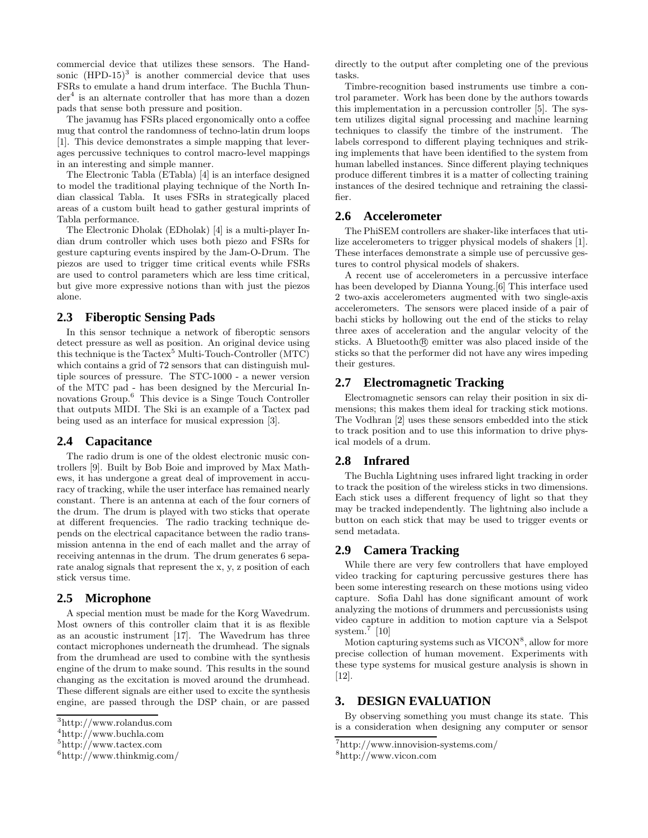commercial device that utilizes these sensors. The Handsonic  $(HPD-15)^3$  is another commercial device that uses FSRs to emulate a hand drum interface. The Buchla Thunder<sup>4</sup> is an alternate controller that has more than a dozen pads that sense both pressure and position.

The javamug has FSRs placed ergonomically onto a coffee mug that control the randomness of techno-latin drum loops [1]. This device demonstrates a simple mapping that leverages percussive techniques to control macro-level mappings in an interesting and simple manner.

The Electronic Tabla (ETabla) [4] is an interface designed to model the traditional playing technique of the North Indian classical Tabla. It uses FSRs in strategically placed areas of a custom built head to gather gestural imprints of Tabla performance.

The Electronic Dholak (EDholak) [4] is a multi-player Indian drum controller which uses both piezo and FSRs for gesture capturing events inspired by the Jam-O-Drum. The piezos are used to trigger time critical events while FSRs are used to control parameters which are less time critical, but give more expressive notions than with just the piezos alone.

#### **2.3 Fiberoptic Sensing Pads**

In this sensor technique a network of fiberoptic sensors detect pressure as well as position. An original device using this technique is the  $Tactex^5$  Multi-Touch-Controller (MTC) which contains a grid of 72 sensors that can distinguish multiple sources of pressure. The STC-1000 - a newer version of the MTC pad - has been designed by the Mercurial Innovations Group.<sup>6</sup> This device is a Singe Touch Controller that outputs MIDI. The Ski is an example of a Tactex pad being used as an interface for musical expression [3].

#### **2.4 Capacitance**

The radio drum is one of the oldest electronic music controllers [9]. Built by Bob Boie and improved by Max Mathews, it has undergone a great deal of improvement in accuracy of tracking, while the user interface has remained nearly constant. There is an antenna at each of the four corners of the drum. The drum is played with two sticks that operate at different frequencies. The radio tracking technique depends on the electrical capacitance between the radio transmission antenna in the end of each mallet and the array of receiving antennas in the drum. The drum generates 6 separate analog signals that represent the x, y, z position of each stick versus time.

#### **2.5 Microphone**

A special mention must be made for the Korg Wavedrum. Most owners of this controller claim that it is as flexible as an acoustic instrument [17]. The Wavedrum has three contact microphones underneath the drumhead. The signals from the drumhead are used to combine with the synthesis engine of the drum to make sound. This results in the sound changing as the excitation is moved around the drumhead. These different signals are either used to excite the synthesis engine, are passed through the DSP chain, or are passed

directly to the output after completing one of the previous tasks.

Timbre-recognition based instruments use timbre a control parameter. Work has been done by the authors towards this implementation in a percussion controller [5]. The system utilizes digital signal processing and machine learning techniques to classify the timbre of the instrument. The labels correspond to different playing techniques and striking implements that have been identified to the system from human labelled instances. Since different playing techniques produce different timbres it is a matter of collecting training instances of the desired technique and retraining the classifier.

#### **2.6 Accelerometer**

The PhiSEM controllers are shaker-like interfaces that utilize accelerometers to trigger physical models of shakers [1]. These interfaces demonstrate a simple use of percussive gestures to control physical models of shakers.

A recent use of accelerometers in a percussive interface has been developed by Dianna Young.[6] This interface used 2 two-axis accelerometers augmented with two single-axis accelerometers. The sensors were placed inside of a pair of bachi sticks by hollowing out the end of the sticks to relay three axes of acceleration and the angular velocity of the sticks. A Bluetooth $\circledR$  emitter was also placed inside of the sticks so that the performer did not have any wires impeding their gestures.

## **2.7 Electromagnetic Tracking**

Electromagnetic sensors can relay their position in six dimensions; this makes them ideal for tracking stick motions. The Vodhran [2] uses these sensors embedded into the stick to track position and to use this information to drive physical models of a drum.

#### **2.8 Infrared**

The Buchla Lightning uses infrared light tracking in order to track the position of the wireless sticks in two dimensions. Each stick uses a different frequency of light so that they may be tracked independently. The lightning also include a button on each stick that may be used to trigger events or send metadata.

## **2.9 Camera Tracking**

While there are very few controllers that have employed video tracking for capturing percussive gestures there has been some interesting research on these motions using video capture. Sofia Dahl has done significant amount of work analyzing the motions of drummers and percussionists using video capture in addition to motion capture via a Selspot system.<sup>7</sup> [10]

Motion capturing systems such as VICON<sup>8</sup>, allow for more precise collection of human movement. Experiments with these type systems for musical gesture analysis is shown in [12].

#### **3. DESIGN EVALUATION**

By observing something you must change its state. This is a consideration when designing any computer or sensor

<sup>3</sup>http://www.rolandus.com

<sup>4</sup>http://www.buchla.com

<sup>5</sup>http://www.tactex.com

 $6$ http://www.thinkmig.com/

<sup>7</sup>http://www.innovision-systems.com/

<sup>8</sup>http://www.vicon.com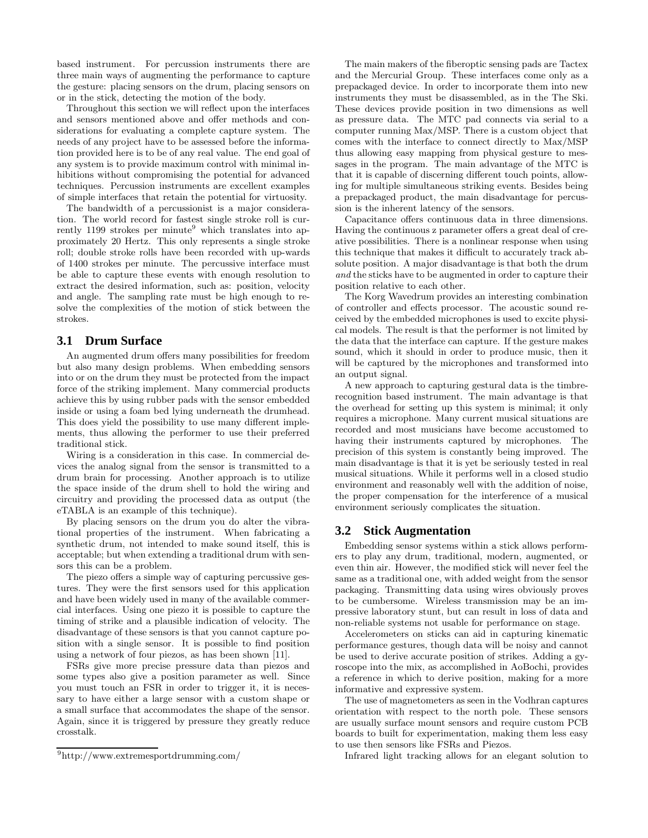based instrument. For percussion instruments there are three main ways of augmenting the performance to capture the gesture: placing sensors on the drum, placing sensors on or in the stick, detecting the motion of the body.

Throughout this section we will reflect upon the interfaces and sensors mentioned above and offer methods and considerations for evaluating a complete capture system. The needs of any project have to be assessed before the information provided here is to be of any real value. The end goal of any system is to provide maximum control with minimal inhibitions without compromising the potential for advanced techniques. Percussion instruments are excellent examples of simple interfaces that retain the potential for virtuosity.

The bandwidth of a percussionist is a major consideration. The world record for fastest single stroke roll is currently 1199 strokes per minute<sup>9</sup> which translates into approximately 20 Hertz. This only represents a single stroke roll; double stroke rolls have been recorded with up-wards of 1400 strokes per minute. The percussive interface must be able to capture these events with enough resolution to extract the desired information, such as: position, velocity and angle. The sampling rate must be high enough to resolve the complexities of the motion of stick between the strokes.

## **3.1 Drum Surface**

An augmented drum offers many possibilities for freedom but also many design problems. When embedding sensors into or on the drum they must be protected from the impact force of the striking implement. Many commercial products achieve this by using rubber pads with the sensor embedded inside or using a foam bed lying underneath the drumhead. This does yield the possibility to use many different implements, thus allowing the performer to use their preferred traditional stick.

Wiring is a consideration in this case. In commercial devices the analog signal from the sensor is transmitted to a drum brain for processing. Another approach is to utilize the space inside of the drum shell to hold the wiring and circuitry and providing the processed data as output (the eTABLA is an example of this technique).

By placing sensors on the drum you do alter the vibrational properties of the instrument. When fabricating a synthetic drum, not intended to make sound itself, this is acceptable; but when extending a traditional drum with sensors this can be a problem.

The piezo offers a simple way of capturing percussive gestures. They were the first sensors used for this application and have been widely used in many of the available commercial interfaces. Using one piezo it is possible to capture the timing of strike and a plausible indication of velocity. The disadvantage of these sensors is that you cannot capture position with a single sensor. It is possible to find position using a network of four piezos, as has been shown [11].

FSRs give more precise pressure data than piezos and some types also give a position parameter as well. Since you must touch an FSR in order to trigger it, it is necessary to have either a large sensor with a custom shape or a small surface that accommodates the shape of the sensor. Again, since it is triggered by pressure they greatly reduce crosstalk.

The main makers of the fiberoptic sensing pads are Tactex and the Mercurial Group. These interfaces come only as a prepackaged device. In order to incorporate them into new instruments they must be disassembled, as in the The Ski. These devices provide position in two dimensions as well as pressure data. The MTC pad connects via serial to a computer running Max/MSP. There is a custom object that comes with the interface to connect directly to Max/MSP thus allowing easy mapping from physical gesture to messages in the program. The main advantage of the MTC is that it is capable of discerning different touch points, allowing for multiple simultaneous striking events. Besides being a prepackaged product, the main disadvantage for percussion is the inherent latency of the sensors.

Capacitance offers continuous data in three dimensions. Having the continuous z parameter offers a great deal of creative possibilities. There is a nonlinear response when using this technique that makes it difficult to accurately track absolute position. A major disadvantage is that both the drum and the sticks have to be augmented in order to capture their position relative to each other.

The Korg Wavedrum provides an interesting combination of controller and effects processor. The acoustic sound received by the embedded microphones is used to excite physical models. The result is that the performer is not limited by the data that the interface can capture. If the gesture makes sound, which it should in order to produce music, then it will be captured by the microphones and transformed into an output signal.

A new approach to capturing gestural data is the timbrerecognition based instrument. The main advantage is that the overhead for setting up this system is minimal; it only requires a microphone. Many current musical situations are recorded and most musicians have become accustomed to having their instruments captured by microphones. The precision of this system is constantly being improved. The main disadvantage is that it is yet be seriously tested in real musical situations. While it performs well in a closed studio environment and reasonably well with the addition of noise, the proper compensation for the interference of a musical environment seriously complicates the situation.

#### **3.2 Stick Augmentation**

Embedding sensor systems within a stick allows performers to play any drum, traditional, modern, augmented, or even thin air. However, the modified stick will never feel the same as a traditional one, with added weight from the sensor packaging. Transmitting data using wires obviously proves to be cumbersome. Wireless transmission may be an impressive laboratory stunt, but can result in loss of data and non-reliable systems not usable for performance on stage.

Accelerometers on sticks can aid in capturing kinematic performance gestures, though data will be noisy and cannot be used to derive accurate position of strikes. Adding a gyroscope into the mix, as accomplished in AoBochi, provides a reference in which to derive position, making for a more informative and expressive system.

The use of magnetometers as seen in the Vodhran captures orientation with respect to the north pole. These sensors are usually surface mount sensors and require custom PCB boards to built for experimentation, making them less easy to use then sensors like FSRs and Piezos.

Infrared light tracking allows for an elegant solution to

<sup>9</sup>http://www.extremesportdrumming.com/